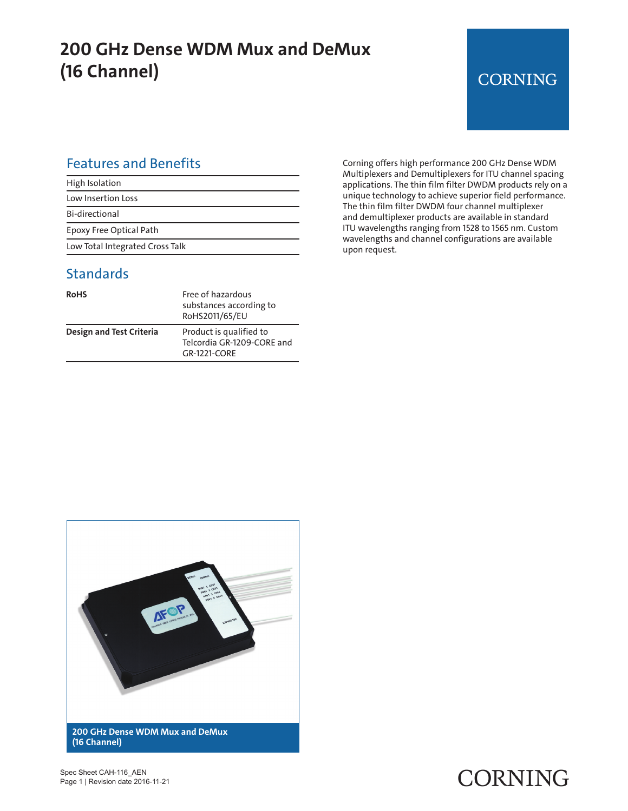## **200 GHz Dense WDM Mux and DeMux (16 Channel)**

## **CORNING**

#### Features and Benefits

| High Isolation                  |  |
|---------------------------------|--|
| Low Insertion Loss              |  |
| <b>Bi-directional</b>           |  |
| Epoxy Free Optical Path         |  |
| Low Total Integrated Cross Talk |  |

#### **Standards**

| <b>RoHS</b>                     | Free of hazardous<br>substances according to<br>RoHS2011/65/EU        |
|---------------------------------|-----------------------------------------------------------------------|
| <b>Design and Test Criteria</b> | Product is qualified to<br>Telcordia GR-1209-CORE and<br>GR-1221-CORF |

Corning offers high performance 200 GHz Dense WDM Multiplexers and Demultiplexers for ITU channel spacing applications. The thin film filter DWDM products rely on a unique technology to achieve superior field performance. The thin film filter DWDM four channel multiplexer and demultiplexer products are available in standard ITU wavelengths ranging from 1528 to 1565 nm. Custom wavelengths and channel configurations are available upon request.



Spec Sheet CAH-116\_AEN Page 1 | Revision date 2016-11-21

## CORNING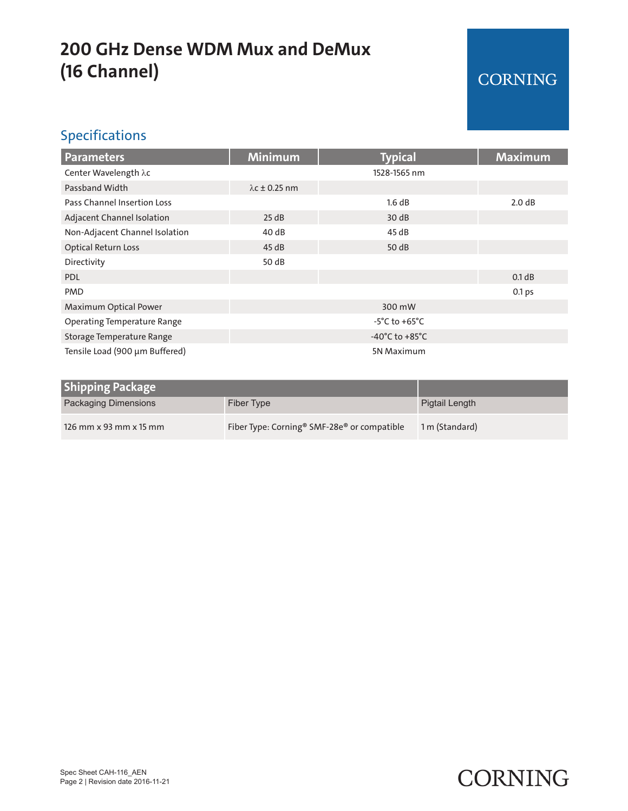## **200 GHz Dense WDM Mux and DeMux (16 Channel)**

#### CORNING

#### Specifications

| <b>Parameters</b>                  | <b>Minimum</b>                       | <b>Typical</b> | <b>Maximum</b> |
|------------------------------------|--------------------------------------|----------------|----------------|
| Center Wavelength λc               |                                      | 1528-1565 nm   |                |
| Passband Width                     | $\lambda$ c ± 0.25 nm                |                |                |
| Pass Channel Insertion Loss        |                                      | 1.6 dB         | 2.0 dB         |
| Adjacent Channel Isolation         | 25 dB                                | 30dB           |                |
| Non-Adjacent Channel Isolation     | 40 dB                                | 45 dB          |                |
| <b>Optical Return Loss</b>         | 45dB                                 | 50 dB          |                |
| Directivity                        | 50 dB                                |                |                |
| <b>PDL</b>                         |                                      |                | 0.1 dB         |
| <b>PMD</b>                         |                                      |                | 0.1 ps         |
| Maximum Optical Power              | 300 mW                               |                |                |
| <b>Operating Temperature Range</b> | $-5^{\circ}$ C to $+65^{\circ}$ C    |                |                |
| Storage Temperature Range          | -40 $^{\circ}$ C to +85 $^{\circ}$ C |                |                |
| Tensile Load (900 µm Buffered)     | 5N Maximum                           |                |                |

| <b>Shipping Package</b> |                                                                     |                |
|-------------------------|---------------------------------------------------------------------|----------------|
| Packaging Dimensions    | Fiber Type                                                          | Pigtail Length |
| 126 mm x 93 mm x 15 mm  | Fiber Type: Corning <sup>®</sup> SMF-28e <sup>®</sup> or compatible | 1 m (Standard) |